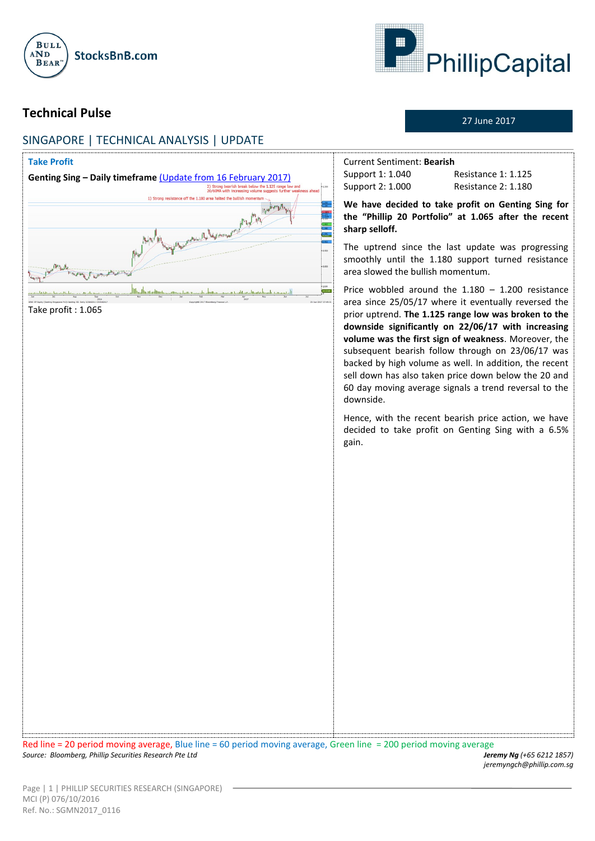



27 June 2017

*jeremyngch@phillip.com.sg*

# **Technical Pulse**

# SINGAPORE | TECHNICAL ANALYSIS | UPDATE



*Source: Bloomberg, Phillip Securities Research Pte Ltd Jeremy Ng (+65 6212 1857)*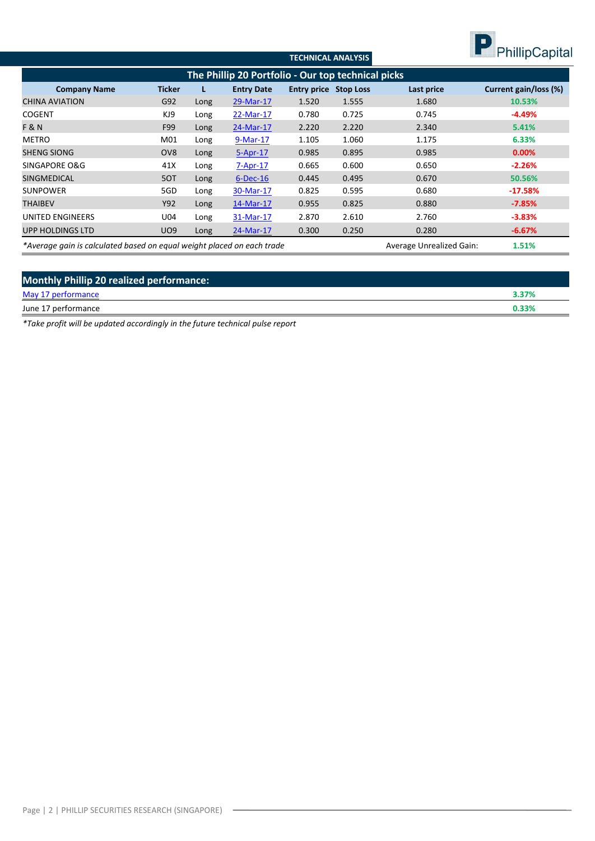

|                                                                        |                 |      |                   | <b>TECHNICAL ANALYSIS</b> |                                 |            | $\blacksquare$        |  |
|------------------------------------------------------------------------|-----------------|------|-------------------|---------------------------|---------------------------------|------------|-----------------------|--|
| The Phillip 20 Portfolio - Our top technical picks                     |                 |      |                   |                           |                                 |            |                       |  |
| <b>Company Name</b>                                                    | Ticker          |      | <b>Entry Date</b> | <b>Entry price</b>        | <b>Stop Loss</b>                | Last price | Current gain/loss (%) |  |
| <b>CHINA AVIATION</b>                                                  | G92             | Long | 29-Mar-17         | 1.520                     | 1.555                           | 1.680      | 10.53%                |  |
| <b>COGENT</b>                                                          | KJ9             | Long | 22-Mar-17         | 0.780                     | 0.725                           | 0.745      | $-4.49%$              |  |
| <b>F&amp;N</b>                                                         | F99             | Long | 24-Mar-17         | 2.220                     | 2.220                           | 2.340      | 5.41%                 |  |
| <b>METRO</b>                                                           | M01             | Long | 9-Mar-17          | 1.105                     | 1.060                           | 1.175      | 6.33%                 |  |
| <b>SHENG SIONG</b>                                                     | OV <sub>8</sub> | Long | 5-Apr-17          | 0.985                     | 0.895                           | 0.985      | $0.00\%$              |  |
| SINGAPORE O&G                                                          | 41X             | Long | $7 - Apr - 17$    | 0.665                     | 0.600                           | 0.650      | $-2.26%$              |  |
| <b>SINGMEDICAL</b>                                                     | 5OT             | Long | $6$ -Dec-16       | 0.445                     | 0.495                           | 0.670      | 50.56%                |  |
| <b>SUNPOWER</b>                                                        | 5GD             | Long | 30-Mar-17         | 0.825                     | 0.595                           | 0.680      | $-17.58%$             |  |
| <b>THAIBEV</b>                                                         | Y92             | Long | 14-Mar-17         | 0.955                     | 0.825                           | 0.880      | $-7.85%$              |  |
| UNITED ENGINEERS                                                       | U04             | Long | 31-Mar-17         | 2.870                     | 2.610                           | 2.760      | $-3.83%$              |  |
| <b>UPP HOLDINGS LTD</b>                                                | <b>UO9</b>      | Long | 24-Mar-17         | 0.300                     | 0.250                           | 0.280      | $-6.67%$              |  |
| *Average gain is calculated based on equal weight placed on each trade |                 |      |                   |                           | <b>Average Unrealized Gain:</b> | 1.51%      |                       |  |

| <b>Monthly Phillip 20 realized performance:</b> |       |  |  |  |  |  |
|-------------------------------------------------|-------|--|--|--|--|--|
| May 17 performance                              | 3.37% |  |  |  |  |  |
| June 17 performance                             | 0.33% |  |  |  |  |  |

*\*Take profit will be updated accordingly in the future technical pulse report*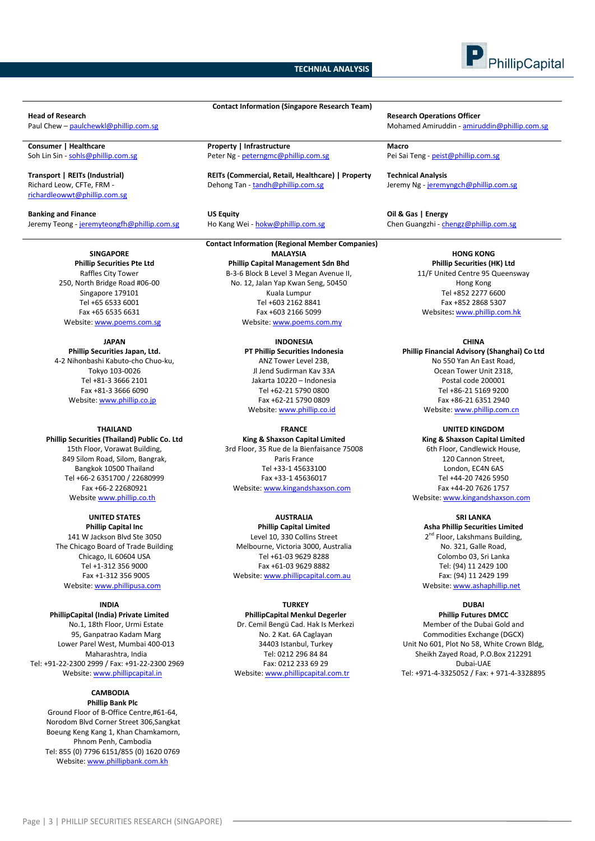## **TECHNIAL ANALYSIS**



Richard Leow, CFTe, FRM [richardleowwt@phillip.com.sg](mailto:richardleowwt@phillip.com.sg)

**Banking and Finance US Equity Oil & Gas | Energy** Jeremy Teong - [jeremyteongfh@phillip.com.sg](mailto:jeremyteongfh@phillip.com.sg) Ho Kang Wei - [hokw@phillip.com.sg](mailto:hokw@phillip.com.sg)

**SINGAPORE Phillip Securities Pte Ltd** Raffles City Tower 250, North Bridge Road #06-00

Singapore 179101 Tel +65 6533 6001 Fax +65 6535 6631 Website[: www.poems.com.sg](http://www.poems.com.sg/)

**JAPAN Phillip Securities Japan, Ltd.** 4-2 Nihonbashi Kabuto-cho Chuo-ku, Tokyo 103-0026 Tel +81-3 3666 2101 Fax +81-3 3666 6090 Website[: www.phillip.co.jp](http://www.phillip.co.jp/)

## **THAILAND**

**Phillip Securities (Thailand) Public Co. Ltd** 15th Floor, Vorawat Building, 849 Silom Road, Silom, Bangrak, Bangkok 10500 Thailand Tel +66-2 6351700 / 22680999 Fax +66-2 22680921 Website [www.phillip.co.th](http://www.phillip.co.th/)

**UNITED STATES Phillip Capital Inc** 141 W Jackson Blvd Ste 3050 The Chicago Board of Trade Building Chicago, IL 60604 USA Tel +1-312 356 9000 Fax +1-312 356 9005 Website: [www.phillipusa.com](http://www.phillipusa.com/)

### **INDIA**

**PhillipCapital (India) Private Limited** No.1, 18th Floor, Urmi Estate 95, Ganpatrao Kadam Marg Lower Parel West, Mumbai 400-013 Maharashtra, India Tel: +91-22-2300 2999 / Fax: +91-22-2300 2969 Website[: www.phillipcapital.in](http://www.phillipcapital.in/)

## **CAMBODIA**

**Phillip Bank Plc** Ground Floor of B-Office Centre,#61-64, Norodom Blvd Corner Street 306,Sangkat Boeung Keng Kang 1, Khan Chamkamorn, Phnom Penh, Cambodia Tel: 855 (0) 7796 6151/855 (0) 1620 0769 Website[: www.phillipbank.com.kh](http://www.phillipbank.com.kh/)

**Consumer | Healthcare Property | Infrastructure Macro** Soh Lin Sin - [sohls@phillip.com.sg](mailto:sohls@phillip.com.sg) Peter Ng - [peterngmc@phillip.com.sg](mailto:peterngmc@phillip.com.sg) Pei Sai Teng - [peist@phillip.com.sg](mailto:peist@phillip.com.sg)

**Transport | REITs (Industrial) REITs (Commercial, Retail, Healthcare) | Property Technical Analysis** Dehong Tan - [tandh@phillip.com.sg](mailto:tandh@phillip.com.sg) Jeremy Ng - [jeremyngch@phillip.com.sg](mailto:jeremyngch@phillip.com.sg)

**Contact Information (Singapore Research Team)**

**Contact Information (Regional Member Companies) MALAYSIA Phillip Capital Management Sdn Bhd** B-3-6 Block B Level 3 Megan Avenue II, No. 12, Jalan Yap Kwan Seng, 50450 Kuala Lumpur Tel +603 2162 8841 Fax +603 2166 5099 Website[: www.poems.com.my](http://www.poems.com.my/)

> **INDONESIA PT Phillip Securities Indonesia** ANZ Tower Level 23B, Jl Jend Sudirman Kav 33A Jakarta 10220 – Indonesia Tel +62-21 5790 0800 Fax +62-21 5790 0809 Website: [www.phillip.co.id](http://www.phillip.co.id/)

## **FRANCE**

**King & Shaxson Capital Limited** 3rd Floor, 35 Rue de la Bienfaisance 75008 Paris France Tel +33-1 45633100 Fax +33-1 45636017 Website[: www.kingandshaxson.com](http://www.kingandshaxson.com/)

**AUSTRALIA**

**Phillip Capital Limited** Level 10, 330 Collins Street Melbourne, Victoria 3000, Australia Tel +61-03 9629 8288 Fax +61-03 9629 8882 Website[: www.phillipcapital.com.au](http://www.phillipcapital.com.au/)

## **TURKEY**

**PhillipCapital Menkul Degerler** Dr. Cemil Bengü Cad. Hak Is Merkezi No. 2 Kat. 6A Caglayan 34403 Istanbul, Turkey Tel: 0212 296 84 84 Fax: 0212 233 69 29 Website[: www.phillipcapital.com.tr](http://www.phillipcapital.com.tr/)

**Head of Research Operations Officer**<br>
Paul Chew – <u>paulchewkl@phillip.com.se</u><br>
Paul Chew – <u>paulchewkl@phillip.com.se</u> Mohamed Amiruddin - [amiruddin@phillip.com.sg](mailto:amiruddin@phillip.com.sg)

**HONG KONG Phillip Securities (HK) Ltd** 11/F United Centre 95 Queensway Hong Kong Tel +852 2277 6600 Fax +852 2868 5307 Websites**:** [www.phillip.com.hk](http://www.phillip.com.hk/)

#### **CHINA**

**Phillip Financial Advisory (Shanghai) Co Ltd** No 550 Yan An East Road, Ocean Tower Unit 2318, Postal code 200001 Tel +86-21 5169 9200 Fax +86-21 6351 2940 Website[: www.phillip.com.cn](http://www.phillip.com.cn/)

**UNITED KINGDOM King & Shaxson Capital Limited** 6th Floor, Candlewick House, 120 Cannon Street, London, EC4N 6AS Tel +44-20 7426 5950 Fax +44-20 7626 1757 Website[: www.kingandshaxson.com](http://www.kingandshaxson.com/)

**SRI LANKA Asha Phillip Securities Limited** 2<sup>nd</sup> Floor, Lakshmans Building, No. 321, Galle Road, Colombo 03, Sri Lanka Tel: (94) 11 2429 100 Fax: (94) 11 2429 199 Website[: www.ashaphillip.net](http://www.ashaphillip.net/)

**DUBAI**

**Phillip Futures DMCC** Member of the Dubai Gold and Commodities Exchange (DGCX) Unit No 601, Plot No 58, White Crown Bldg, Sheikh Zayed Road, P.O.Box 212291 Dubai-UAE Tel: +971-4-3325052 / Fax: + 971-4-3328895